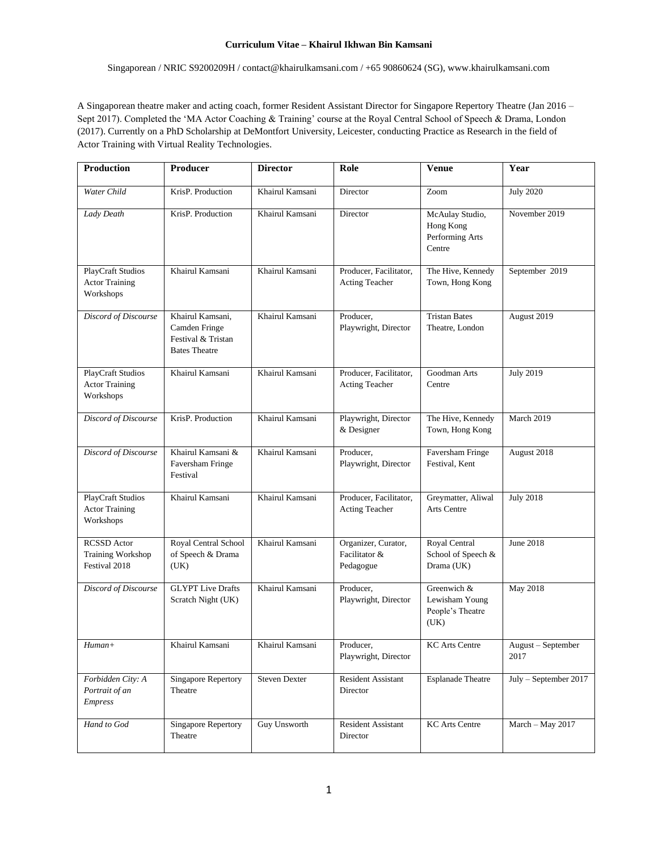Singaporean / NRIC S9200209H / contact@khairulkamsani.com / +65 90860624 (SG), www.khairulkamsani.com

A Singaporean theatre maker and acting coach, former Resident Assistant Director for Singapore Repertory Theatre (Jan 2016 – Sept 2017). Completed the 'MA Actor Coaching & Training' course at the Royal Central School of Speech & Drama, London (2017). Currently on a PhD Scholarship at DeMontfort University, Leicester, conducting Practice as Research in the field of Actor Training with Virtual Reality Technologies.

| Production                                                      | Producer                                                                        | <b>Director</b> | Role                                              | <b>Venue</b>                                              | Year                       |
|-----------------------------------------------------------------|---------------------------------------------------------------------------------|-----------------|---------------------------------------------------|-----------------------------------------------------------|----------------------------|
| Water Child                                                     | KrisP. Production                                                               | Khairul Kamsani | Director                                          | Zoom                                                      | <b>July 2020</b>           |
| Lady Death                                                      | KrisP. Production                                                               | Khairul Kamsani | Director                                          | McAulay Studio,<br>Hong Kong<br>Performing Arts<br>Centre | November 2019              |
| <b>PlayCraft Studios</b><br><b>Actor Training</b><br>Workshops  | Khairul Kamsani                                                                 | Khairul Kamsani | Producer, Facilitator,<br>Acting Teacher          | The Hive, Kennedy<br>Town, Hong Kong                      | September 2019             |
| Discord of Discourse                                            | Khairul Kamsani,<br>Camden Fringe<br>Festival & Tristan<br><b>Bates Theatre</b> | Khairul Kamsani | Producer,<br>Playwright, Director                 | <b>Tristan Bates</b><br>Theatre, London                   | August 2019                |
| <b>PlayCraft Studios</b><br><b>Actor Training</b><br>Workshops  | Khairul Kamsani                                                                 | Khairul Kamsani | Producer, Facilitator,<br>Acting Teacher          | Goodman Arts<br>Centre                                    | <b>July 2019</b>           |
| Discord of Discourse                                            | KrisP. Production                                                               | Khairul Kamsani | Playwright, Director<br>& Designer                | The Hive, Kennedy<br>Town, Hong Kong                      | March 2019                 |
| Discord of Discourse                                            | Khairul Kamsani &<br>Faversham Fringe<br>Festival                               | Khairul Kamsani | Producer.<br>Playwright, Director                 | Faversham Fringe<br>Festival, Kent                        | August 2018                |
| <b>PlayCraft Studios</b><br><b>Actor Training</b><br>Workshops  | Khairul Kamsani                                                                 | Khairul Kamsani | Producer, Facilitator,<br>Acting Teacher          | Greymatter, Aliwal<br>Arts Centre                         | <b>July 2018</b>           |
| <b>RCSSD</b> Actor<br><b>Training Workshop</b><br>Festival 2018 | Royal Central School<br>of Speech & Drama<br>(UK)                               | Khairul Kamsani | Organizer, Curator,<br>Facilitator &<br>Pedagogue | Royal Central<br>School of Speech &<br>Drama (UK)         | <b>June 2018</b>           |
| Discord of Discourse                                            | <b>GLYPT</b> Live Drafts<br>Scratch Night (UK)                                  | Khairul Kamsani | Producer,<br>Playwright, Director                 | Greenwich &<br>Lewisham Young<br>People's Theatre<br>(UK) | May 2018                   |
| $\overline{H}$ uman+                                            | Khairul Kamsani                                                                 | Khairul Kamsani | Producer,<br>Playwright, Director                 | <b>KC</b> Arts Centre                                     | August – September<br>2017 |
| Forbidden City: A<br>Portrait of an<br><b>Empress</b>           | <b>Singapore Repertory</b><br>Theatre                                           | Steven Dexter   | <b>Resident Assistant</b><br>Director             | <b>Esplanade Theatre</b>                                  | July - September 2017      |
| Hand to God                                                     | <b>Singapore Repertory</b><br>Theatre                                           | Guy Unsworth    | Resident Assistant<br>Director                    | <b>KC</b> Arts Centre                                     | March - May 2017           |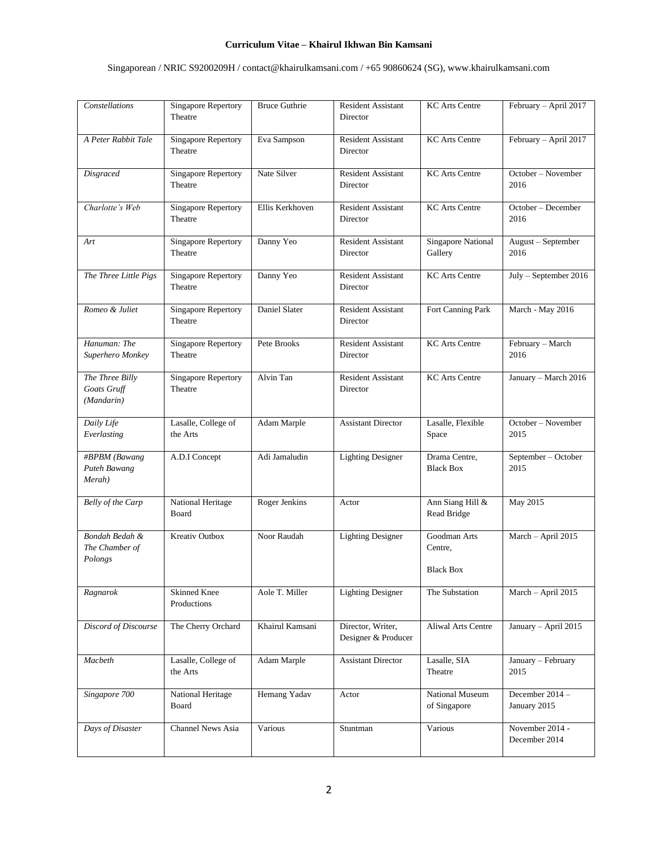# Singaporean / NRIC S9200209H / contact@khairulkamsani.com / +65 90860624 (SG), www.khairulkamsani.com

| Constellations                               | <b>Singapore Repertory</b><br>Theatre | <b>Bruce Guthrie</b> | <b>Resident Assistant</b><br>Director    | <b>KC</b> Arts Centre                       | February - April 2017            |
|----------------------------------------------|---------------------------------------|----------------------|------------------------------------------|---------------------------------------------|----------------------------------|
| A Peter Rabbit Tale                          | <b>Singapore Repertory</b><br>Theatre | Eva Sampson          | <b>Resident Assistant</b><br>Director    | <b>KC</b> Arts Centre                       | February - April 2017            |
| Disgraced                                    | Singapore Repertory<br>Theatre        | Nate Silver          | <b>Resident Assistant</b><br>Director    | <b>KC</b> Arts Centre                       | October - November<br>2016       |
| Charlotte's Web                              | <b>Singapore Repertory</b><br>Theatre | Ellis Kerkhoven      | Resident Assistant<br>Director           | <b>KC</b> Arts Centre                       | October - December<br>2016       |
| Art                                          | <b>Singapore Repertory</b><br>Theatre | Danny Yeo            | <b>Resident Assistant</b><br>Director    | <b>Singapore National</b><br>Gallery        | August - September<br>2016       |
| The Three Little Pigs                        | <b>Singapore Repertory</b><br>Theatre | Danny Yeo            | Resident Assistant<br>Director           | <b>KC</b> Arts Centre                       | July - September 2016            |
| Romeo & Juliet                               | <b>Singapore Repertory</b><br>Theatre | Daniel Slater        | <b>Resident Assistant</b><br>Director    | Fort Canning Park                           | March - May 2016                 |
| Hanuman: The<br>Superhero Monkey             | <b>Singapore Repertory</b><br>Theatre | Pete Brooks          | <b>Resident Assistant</b><br>Director    | <b>KC</b> Arts Centre                       | February - March<br>2016         |
| The Three Billy<br>Goats Gruff<br>(Mandarin) | <b>Singapore Repertory</b><br>Theatre | Alvin Tan            | <b>Resident Assistant</b><br>Director    | <b>KC</b> Arts Centre                       | January - March 2016             |
| Daily Life<br>Everlasting                    | Lasalle, College of<br>the Arts       | Adam Marple          | <b>Assistant Director</b>                | Lasalle, Flexible<br>Space                  | October - November<br>2015       |
| #BPBM (Bawang<br>Puteh Bawang<br>Merah)      | A.D.I Concept                         | Adi Jamaludin        | <b>Lighting Designer</b>                 | Drama Centre,<br><b>Black Box</b>           | September - October<br>2015      |
| Belly of the Carp                            | National Heritage<br>Board            | Roger Jenkins        | Actor                                    | Ann Siang Hill &<br>Read Bridge             | May 2015                         |
| Bondah Bedah &<br>The Chamber of<br>Polongs  | Kreativ Outbox                        | Noor Raudah          | <b>Lighting Designer</b>                 | Goodman Arts<br>Centre,<br><b>Black Box</b> | March - April 2015               |
| Ragnarok                                     | <b>Skinned Knee</b><br>Productions    | Aole T. Miller       | <b>Lighting Designer</b>                 | The Substation                              | March - April 2015               |
| Discord of Discourse                         | The Cherry Orchard                    | Khairul Kamsani      | Director, Writer,<br>Designer & Producer | <b>Aliwal Arts Centre</b>                   | January - April 2015             |
| Macbeth                                      | Lasalle, College of<br>the Arts       | Adam Marple          | <b>Assistant Director</b>                | Lasalle, SIA<br>Theatre                     | January - February<br>2015       |
| Singapore 700                                | National Heritage<br>Board            | Hemang Yadav         | Actor                                    | <b>National Museum</b><br>of Singapore      | December 2014 -<br>January 2015  |
| Days of Disaster                             | Channel News Asia                     | Various              | Stuntman                                 | Various                                     | November 2014 -<br>December 2014 |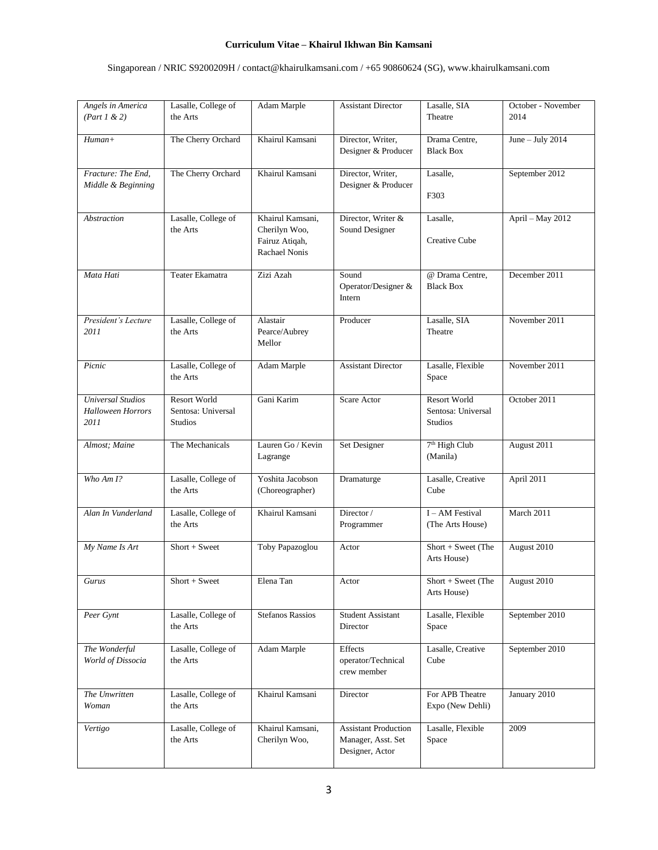# Singaporean / NRIC S9200209H / contact@khairulkamsani.com / +65 90860624 (SG), www.khairulkamsani.com

| Angels in America                                            | Lasalle, College of                                         | Adam Marple                                                          | <b>Assistant Director</b>                                            | Lasalle, SIA                                                | October - November |
|--------------------------------------------------------------|-------------------------------------------------------------|----------------------------------------------------------------------|----------------------------------------------------------------------|-------------------------------------------------------------|--------------------|
| (Part 1 & 2)                                                 | the Arts                                                    |                                                                      |                                                                      | Theatre                                                     | 2014               |
| $H$ uman+                                                    | The Cherry Orchard                                          | Khairul Kamsani                                                      | Director, Writer,<br>Designer & Producer                             | Drama Centre,<br><b>Black Box</b>                           | June - July $2014$ |
| Fracture: The End.                                           | The Cherry Orchard                                          | Khairul Kamsani                                                      | Director, Writer,                                                    | Lasalle,                                                    | September 2012     |
| Middle & Beginning                                           |                                                             |                                                                      | Designer & Producer                                                  | F303                                                        |                    |
| Abstraction                                                  | Lasalle, College of<br>the Arts                             | Khairul Kamsani,<br>Cherilyn Woo,<br>Fairuz Atiqah,<br>Rachael Nonis | Director, Writer &<br>Sound Designer                                 | Lasalle,<br>Creative Cube                                   | April - May 2012   |
| Mata Hati                                                    | Teater Ekamatra                                             | Zizi Azah                                                            | Sound<br>Operator/Designer &<br>Intern                               | @ Drama Centre,<br><b>Black Box</b>                         | December 2011      |
| President's Lecture<br>2011                                  | Lasalle, College of<br>the Arts                             | Alastair<br>Pearce/Aubrey<br>Mellor                                  | Producer                                                             | Lasalle, SIA<br>Theatre                                     | November 2011      |
| Picnic                                                       | Lasalle, College of<br>the Arts                             | Adam Marple                                                          | <b>Assistant Director</b>                                            | Lasalle, Flexible<br>Space                                  | November 2011      |
| <b>Universal Studios</b><br><b>Halloween Horrors</b><br>2011 | <b>Resort World</b><br>Sentosa: Universal<br><b>Studios</b> | Gani Karim                                                           | Scare Actor                                                          | <b>Resort World</b><br>Sentosa: Universal<br><b>Studios</b> | October 2011       |
| Almost; Maine                                                | The Mechanicals                                             | Lauren Go / Kevin<br>Lagrange                                        | Set Designer                                                         | 7 <sup>th</sup> High Club<br>(Manila)                       | August 2011        |
| Who $Am I?$                                                  | Lasalle, College of<br>the Arts                             | Yoshita Jacobson<br>(Choreographer)                                  | Dramaturge                                                           | Lasalle, Creative<br>Cube                                   | April 2011         |
| Alan In Vunderland                                           | Lasalle, College of<br>the Arts                             | Khairul Kamsani                                                      | Director /<br>Programmer                                             | I - AM Festival<br>(The Arts House)                         | March 2011         |
| My Name Is Art                                               | $Short + Sweet$                                             | Toby Papazoglou                                                      | Actor                                                                | Short + Sweet (The<br>Arts House)                           | August 2010        |
| <b>Gurus</b>                                                 | $Short + Sweet$                                             | Elena Tan                                                            | Actor                                                                | Short + Sweet (The<br>Arts House)                           | August 2010        |
| Peer Gynt                                                    | Lasalle, College of<br>the Arts                             | <b>Stefanos Rassios</b>                                              | <b>Student Assistant</b><br>Director                                 | Lasalle, Flexible<br>Space                                  | September 2010     |
| The Wonderful<br>World of Dissocia                           | Lasalle, College of<br>the Arts                             | Adam Marple                                                          | Effects<br>operator/Technical<br>crew member                         | Lasalle, Creative<br>Cube                                   | September 2010     |
| The Unwritten<br>Woman                                       | Lasalle, College of<br>the Arts                             | Khairul Kamsani                                                      | Director                                                             | For APB Theatre<br>Expo (New Dehli)                         | January 2010       |
| Vertigo                                                      | Lasalle, College of<br>the Arts                             | Khairul Kamsani,<br>Cherilyn Woo,                                    | <b>Assistant Production</b><br>Manager, Asst. Set<br>Designer, Actor | Lasalle, Flexible<br>Space                                  | 2009               |